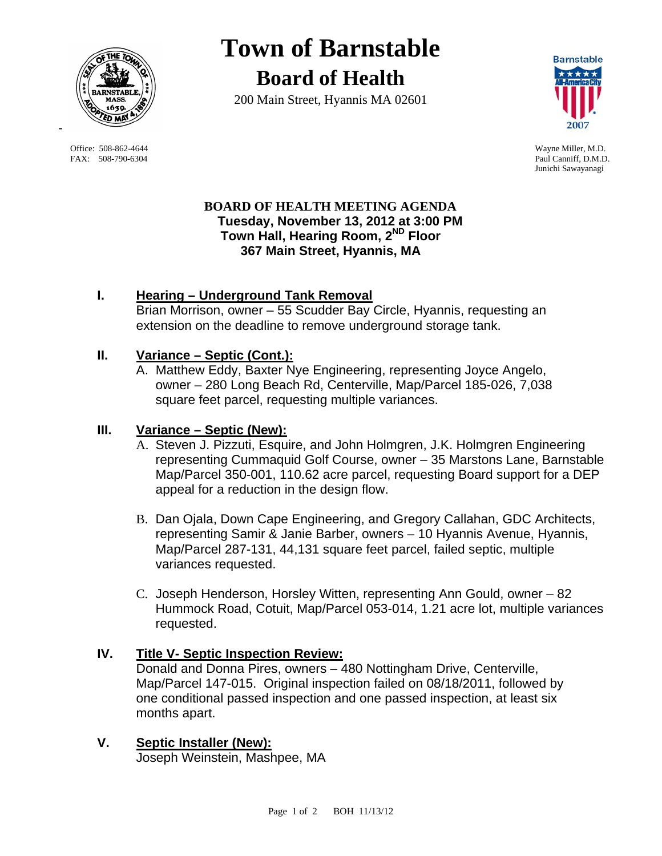

 Office: 508-862-4644 Wayne Miller, M.D. FAX: 508-790-6304 Paul Canniff, D.M.D.

# **Town of Barnstable Board of Health**

200 Main Street, Hyannis MA 02601



Junichi Sawayanagi

#### **BOARD OF HEALTH MEETING AGENDA Tuesday, November 13, 2012 at 3:00 PM Town Hall, Hearing Room, 2ND Floor 367 Main Street, Hyannis, MA**

## **I. Hearing – Underground Tank Removal**

Brian Morrison, owner – 55 Scudder Bay Circle, Hyannis, requesting an extension on the deadline to remove underground storage tank.

### **II. Variance – Septic (Cont.):**

A. Matthew Eddy, Baxter Nye Engineering, representing Joyce Angelo, owner – 280 Long Beach Rd, Centerville, Map/Parcel 185-026, 7,038 square feet parcel, requesting multiple variances.

## **III. Variance – Septic (New):**

- A. Steven J. Pizzuti, Esquire, and John Holmgren, J.K. Holmgren Engineering representing Cummaquid Golf Course, owner – 35 Marstons Lane, Barnstable Map/Parcel 350-001, 110.62 acre parcel, requesting Board support for a DEP appeal for a reduction in the design flow.
- B. Dan Ojala, Down Cape Engineering, and Gregory Callahan, GDC Architects, representing Samir & Janie Barber, owners – 10 Hyannis Avenue, Hyannis, Map/Parcel 287-131, 44,131 square feet parcel, failed septic, multiple variances requested.
- C. Joseph Henderson, Horsley Witten, representing Ann Gould, owner 82 Hummock Road, Cotuit, Map/Parcel 053-014, 1.21 acre lot, multiple variances requested.

## **IV. Title V- Septic Inspection Review:**

Donald and Donna Pires, owners – 480 Nottingham Drive, Centerville, Map/Parcel 147-015. Original inspection failed on 08/18/2011, followed by one conditional passed inspection and one passed inspection, at least six months apart.

**V. Septic Installer (New):** Joseph Weinstein, Mashpee, MA